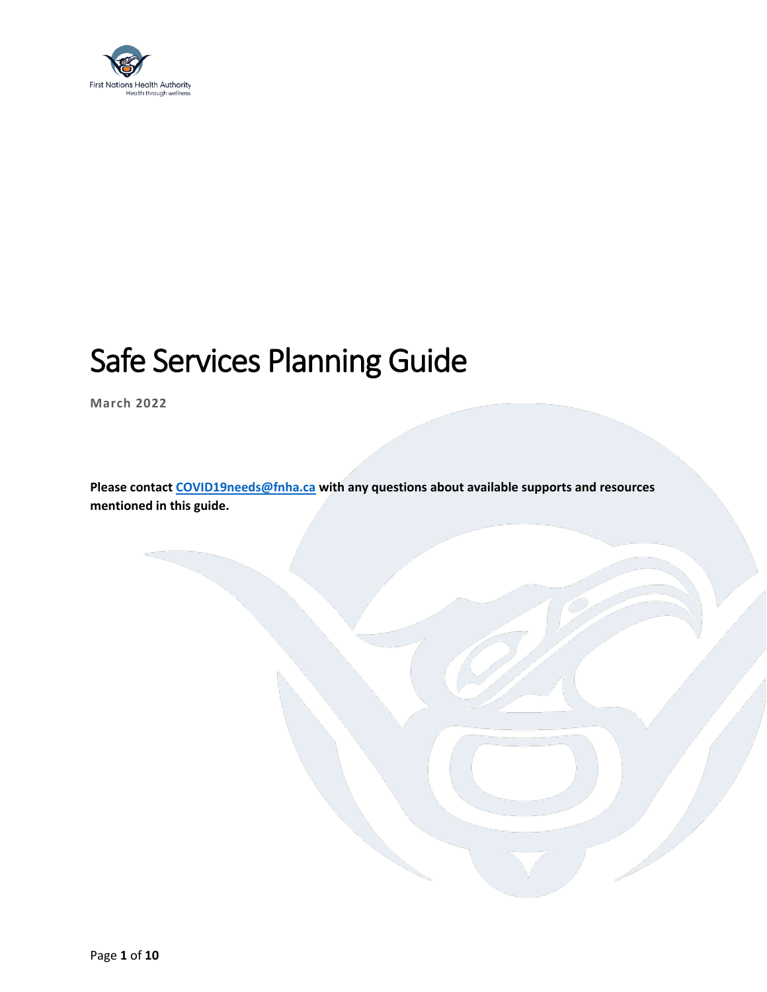

# Safe Services Planning Guide

**March 2022**

**Please contact [COVID19needs@fnha.ca](mailto:COVID19needs@fnha.ca) with any questions about available supports and resources mentioned in this guide.**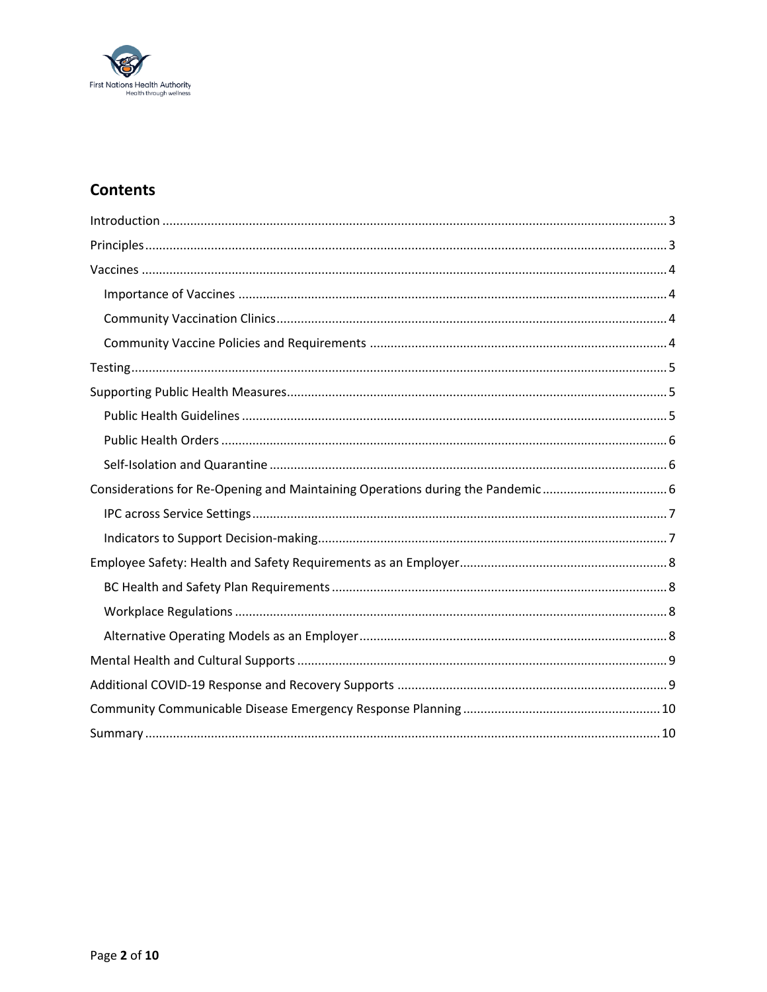

# **Contents**

| Considerations for Re-Opening and Maintaining Operations during the Pandemic |
|------------------------------------------------------------------------------|
|                                                                              |
|                                                                              |
|                                                                              |
|                                                                              |
|                                                                              |
|                                                                              |
|                                                                              |
|                                                                              |
|                                                                              |
|                                                                              |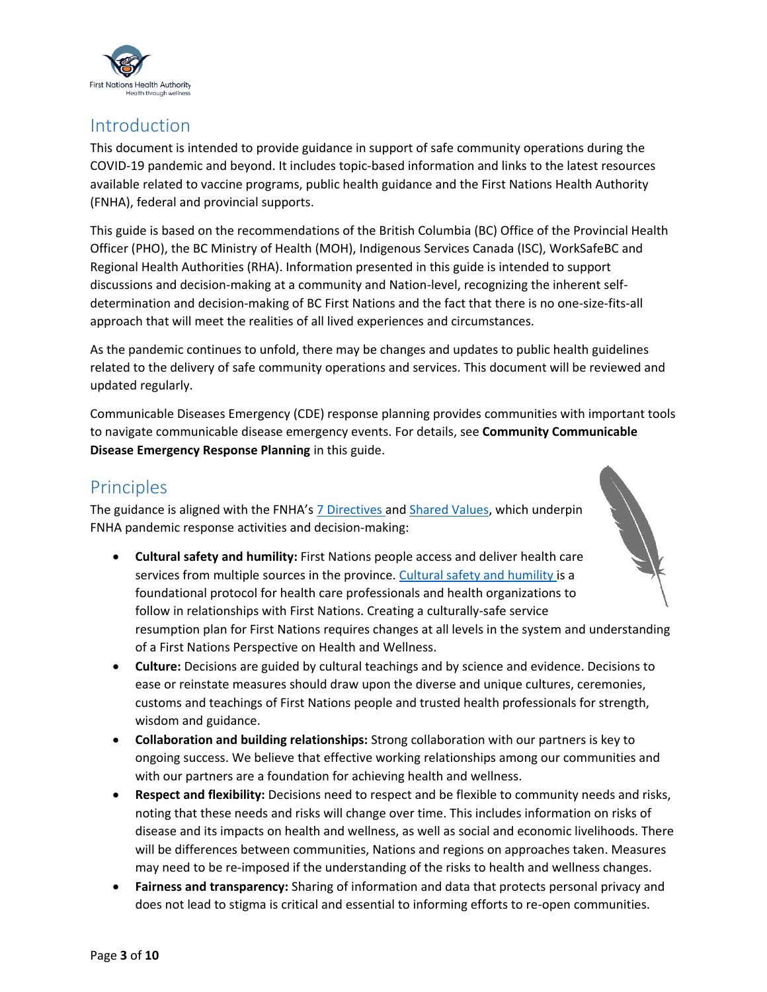

### <span id="page-2-0"></span>Introduction

This document is intended to provide guidance in support of safe community operations during the COVID-19 pandemic and beyond. It includes topic-based information and links to the latest resources available related to vaccine programs, public health guidance and the First Nations Health Authority (FNHA), federal and provincial supports.

This guide is based on the recommendations of the British Columbia (BC) Office of the Provincial Health Officer (PHO), the BC Ministry of Health (MOH), Indigenous Services Canada (ISC), WorkSafeBC and Regional Health Authorities (RHA). Information presented in this guide is intended to support discussions and decision-making at a community and Nation-level, recognizing the inherent selfdetermination and decision-making of BC First Nations and the fact that there is no one-size-fits-all approach that will meet the realities of all lived experiences and circumstances.

As the pandemic continues to unfold, there may be changes and updates to public health guidelines related to the delivery of safe community operations and services. This document will be reviewed and updated regularly.

Communicable Diseases Emergency (CDE) response planning provides communities with important tools to navigate communicable disease emergency events. For details, see **Community Communicable Disease Emergency Response Planning** in this guide.

# <span id="page-2-1"></span>**Principles**

The guidance is aligned with the FNHA's [7 Directives a](https://www.fnha.ca/about/fnha-overview/directives)nd [Shared Values,](https://www.fnha.ca/Documents/FNHA-Shared-Values.pdf) which underpin FNHA pandemic response activities and decision-making:

- **Cultural safety and humility:** First Nations people access and deliver health care services from multiple sources in the province. [Cultural safety](https://www.fnha.ca/wellness/wellness-and-the-first-nations-health-authority/cultural-safety-and-humility) and humility is a foundational protocol for health care professionals and health organizations to follow in relationships with First Nations. Creating a culturally-safe service resumption plan for First Nations requires changes at all levels in the system and understanding of a First Nations Perspective on Health and Wellness.
- **Culture:** Decisions are guided by cultural teachings and by science and evidence. Decisions to ease or reinstate measures should draw upon the diverse and unique cultures, ceremonies, customs and teachings of First Nations people and trusted health professionals for strength, wisdom and guidance.
- **Collaboration and building relationships:** Strong collaboration with our partners is key to ongoing success. We believe that effective working relationships among our communities and with our partners are a foundation for achieving health and wellness.
- **Respect and flexibility:** Decisions need to respect and be flexible to community needs and risks, noting that these needs and risks will change over time. This includes information on risks of disease and its impacts on health and wellness, as well as social and economic livelihoods. There will be differences between communities, Nations and regions on approaches taken. Measures may need to be re-imposed if the understanding of the risks to health and wellness changes.
- **Fairness and transparency:** Sharing of information and data that protects personal privacy and does not lead to stigma is critical and essential to informing efforts to re-open communities.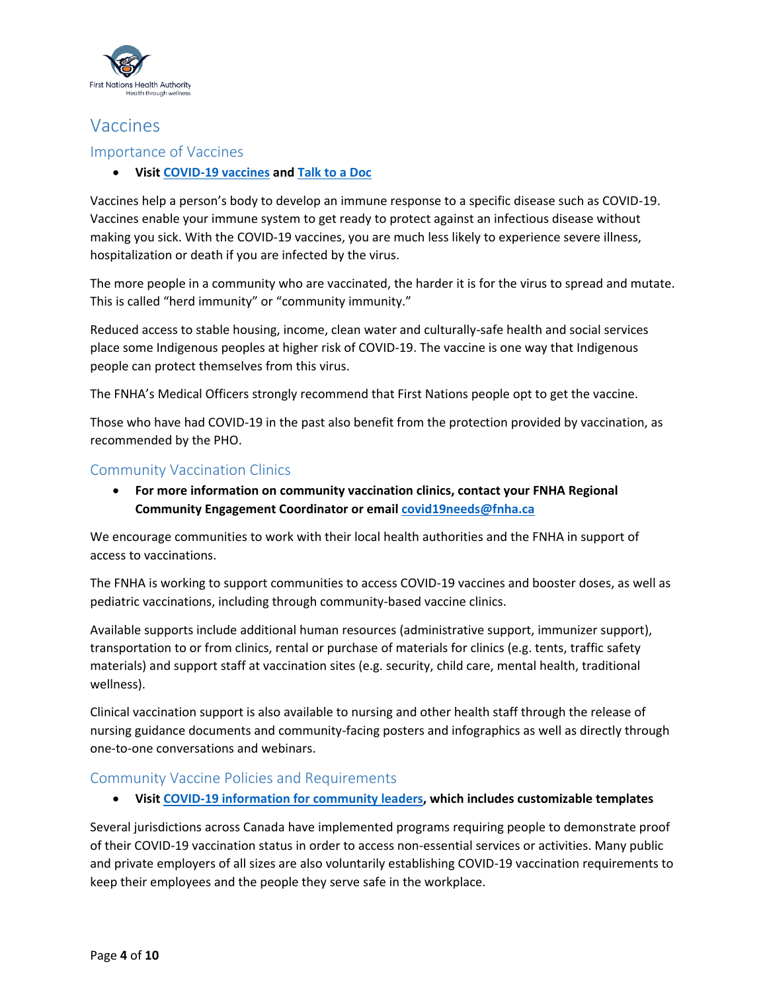

# <span id="page-3-0"></span>Vaccines

### <span id="page-3-1"></span>Importance of Vaccines

**Visi[t COVID-19 vaccines](https://www.fnha.ca/what-we-do/communicable-disease-control/coronavirus/covid-19-vaccine) and [Talk to a Doc](https://www.fnha.ca/what-we-do/communicable-disease-control/coronavirus/talk-to-a-doc)**

Vaccines help a person's body to develop an immune response to a specific disease such as COVID-19. Vaccines enable your immune system to get ready to protect against an infectious disease without making you sick. With the COVID-19 vaccines, you are much less likely to experience severe illness, hospitalization or death if you are infected by the virus.

The more people in a community who are vaccinated, the harder it is for the virus to spread and mutate. This is called "herd immunity" or "community immunity."

Reduced access to stable housing, income, clean water and culturally-safe health and social services place some Indigenous peoples at higher risk of COVID-19. The vaccine is one way that Indigenous people can protect themselves from this virus.

The FNHA's Medical Officers strongly recommend that First Nations people opt to get the vaccine.

Those who have had COVID-19 in the past also benefit from the protection provided by vaccination, as recommended by the PHO.

### <span id="page-3-2"></span>Community Vaccination Clinics

 **For more information on community vaccination clinics, contact your FNHA Regional Community Engagement Coordinator or emai[l covid19needs@fnha.ca](mailto:covid19needs@fnha.ca)**

We encourage communities to work with their local health authorities and the FNHA in support of access to vaccinations.

The FNHA is working to support communities to access COVID-19 vaccines and booster doses, as well as pediatric vaccinations, including through community-based vaccine clinics.

Available supports include additional human resources (administrative support, immunizer support), transportation to or from clinics, rental or purchase of materials for clinics (e.g. tents, traffic safety materials) and support staff at vaccination sites (e.g. security, child care, mental health, traditional wellness).

Clinical vaccination support is also available to nursing and other health staff through the release of nursing guidance documents and community-facing posters and infographics as well as directly through one-to-one conversations and webinars.

### <span id="page-3-3"></span>Community Vaccine Policies and Requirements

**Visi[t COVID-19 information for community leaders,](https://www.fnha.ca/what-we-do/communicable-disease-control/coronavirus/community-leaders) which includes customizable templates**

Several jurisdictions across Canada have implemented programs requiring people to demonstrate proof of their COVID-19 vaccination status in order to access non-essential services or activities. Many public and private employers of all sizes are also voluntarily establishing COVID-19 vaccination requirements to keep their employees and the people they serve safe in the workplace.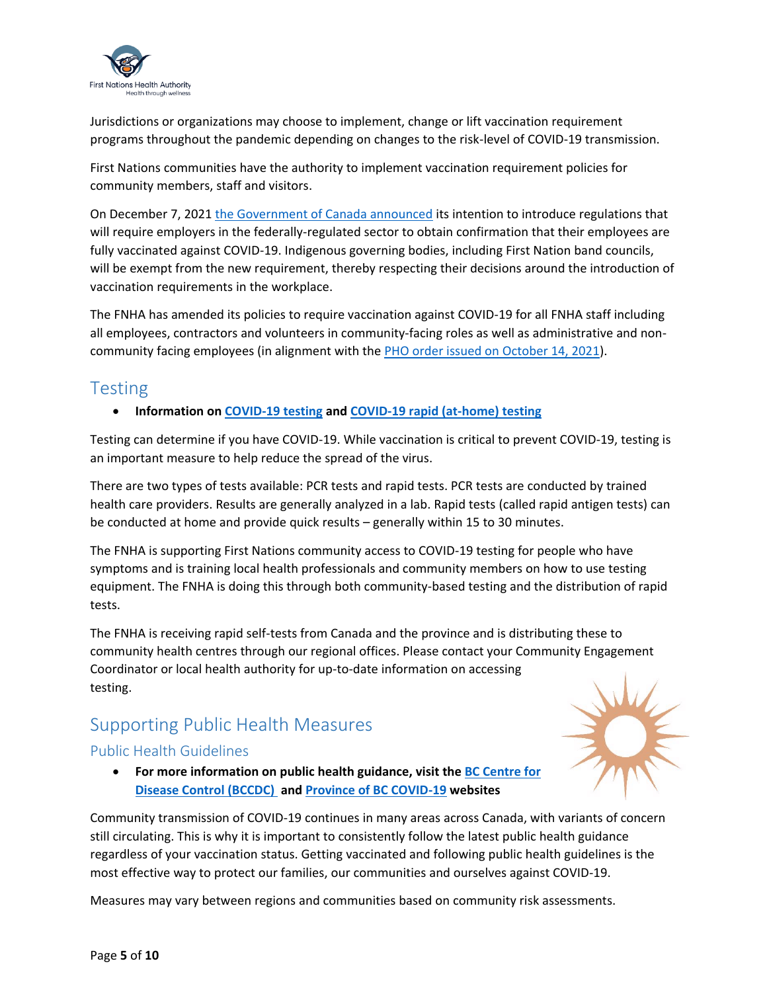

Jurisdictions or organizations may choose to implement, change or lift vaccination requirement programs throughout the pandemic depending on changes to the risk-level of COVID-19 transmission.

First Nations communities have the authority to implement vaccination requirement policies for community members, staff and visitors.

On December 7, 2021 [the Government of Canada announced](https://www.fnha.ca/about/news-and-events/news/covid-19-vaccination-regulations-under-part-ii-of-the-canada-labour-code-information-summary-for-indigenous-partners) its intention to introduce regulations that will require employers in the federally-regulated sector to obtain confirmation that their employees are fully vaccinated against COVID-19. Indigenous governing bodies, including First Nation band councils, will be exempt from the new requirement, thereby respecting their decisions around the introduction of vaccination requirements in the workplace.

The FNHA has amended its policies to require vaccination against COVID-19 for all FNHA staff including all employees, contractors and volunteers in community-facing roles as well as administrative and noncommunity facing employees (in alignment with the PHO [order issued on October 14, 2021\)](https://www2.gov.bc.ca/assets/gov/health/about-bc-s-health-care-system/office-of-the-provincial-health-officer/covid-19/covid-19-hospital-and-community-vaccination-status-information-preventive-measures.pdf).

### <span id="page-4-0"></span>Testing

### **Information o[n COVID-19 testing](https://www.fnha.ca/what-we-do/communicable-disease-control/coronavirus/covid-19-testing) and [COVID-19 rapid \(at-home\) testing](https://www.fnha.ca/what-we-do/communicable-disease-control/coronavirus/covid-19-rapid-testing)**

Testing can determine if you have COVID-19. While vaccination is critical to prevent COVID-19, testing is an important measure to help reduce the spread of the virus.

There are two types of tests available: PCR tests and rapid tests. PCR tests are conducted by trained health care providers. Results are generally analyzed in a lab. Rapid tests (called rapid antigen tests) can be conducted at home and provide quick results – generally within 15 to 30 minutes.

The FNHA is supporting First Nations community access to COVID-19 testing for people who have symptoms and is training local health professionals and community members on how to use testing equipment. The FNHA is doing this through both community-based testing and the distribution of rapid tests.

The FNHA is receiving rapid self-tests from Canada and the province and is distributing these to community health centres through our regional offices. Please contact your Community Engagement Coordinator or local health authority for up-to-date information on accessing testing.

# <span id="page-4-1"></span>Supporting Public Health Measures

### <span id="page-4-2"></span>Public Health Guidelines

 **For more information on public health guidance, visit the [BC Centre for](http://www.bccdc.ca/health-info/diseases-conditions/covid-19)  [Disease Control \(BCCDC\)](http://www.bccdc.ca/health-info/diseases-conditions/covid-19) and [Province of BC COVID-19](https://www2.gov.bc.ca/gov/content/covid-19/info/response) websites**



Community transmission of COVID-19 continues in many areas across Canada, with variants of concern still circulating. This is why it is important to consistently follow the latest public health guidance regardless of your vaccination status. Getting vaccinated and following public health guidelines is the most effective way to protect our families, our communities and ourselves against COVID-19.

Measures may vary between regions and communities based on community risk assessments.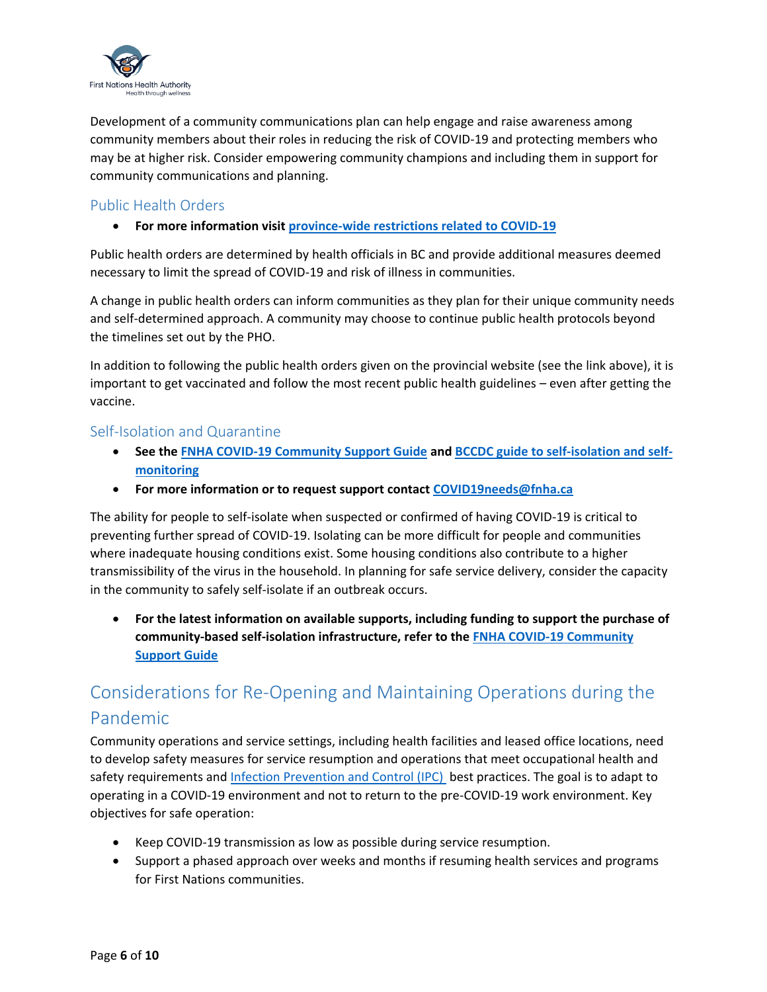

Development of a community communications plan can help engage and raise awareness among community members about their roles in reducing the risk of COVID-19 and protecting members who may be at higher risk. Consider empowering community champions and including them in support for community communications and planning.

### <span id="page-5-0"></span>Public Health Orders

**•** For more information visi[t province-wide restrictions related to COVID-19](https://www2.gov.bc.ca/gov/content/covid-19/info/restrictions)

Public health orders are determined by health officials in BC and provide additional measures deemed necessary to limit the spread of COVID-19 and risk of illness in communities.

A change in public health orders can inform communities as they plan for their unique community needs and self-determined approach. A community may choose to continue public health protocols beyond the timelines set out by the PHO.

In addition to following the public health orders given on the provincial website (see the link above), it is important to get vaccinated and follow the most recent public health guidelines – even after getting the vaccine.

### <span id="page-5-1"></span>Self-Isolation and Quarantine

- **See the [FNHA COVID-19 Community Support Guide](https://www.fnha.ca/Documents/FNHA-COVID-19-Community-Support-Guide.pdf) and BCCDC [guide to self-isolation and self](http://www.bccdc.ca/health-info/diseases-conditions/covid-19/self-isolation)[monitoring](http://www.bccdc.ca/health-info/diseases-conditions/covid-19/self-isolation)**
- **For more information or to request support contact [COVID19needs@fnha.ca](mailto:COVID19needs@fnha.ca)**

The ability for people to self-isolate when suspected or confirmed of having COVID-19 is critical to preventing further spread of COVID-19. Isolating can be more difficult for people and communities where inadequate housing conditions exist. Some housing conditions also contribute to a higher transmissibility of the virus in the household. In planning for safe service delivery, consider the capacity in the community to safely self-isolate if an outbreak occurs.

 **For the latest information on available supports, including funding to support the purchase of community-based self-isolation infrastructure, refer to th[e FNHA COVID-19 Community](https://www.fnha.ca/Documents/FNHA-COVID-19-Community-Support-Guide.pdf)  [Support Guide](https://www.fnha.ca/Documents/FNHA-COVID-19-Community-Support-Guide.pdf)**

# <span id="page-5-2"></span>Considerations for Re-Opening and Maintaining Operations during the Pandemic

Community operations and service settings, including health facilities and leased office locations, need to develop safety measures for service resumption and operations that meet occupational health and safety requirements and [Infection Prevention and Control \(IPC\)](https://www.fnha.ca/what-we-do/communicable-disease-control/infection-prevention-and-control) best practices. The goal is to adapt to operating in a COVID-19 environment and not to return to the pre-COVID-19 work environment. Key objectives for safe operation:

- Keep COVID-19 transmission as low as possible during service resumption.
- Support a phased approach over weeks and months if resuming health services and programs for First Nations communities.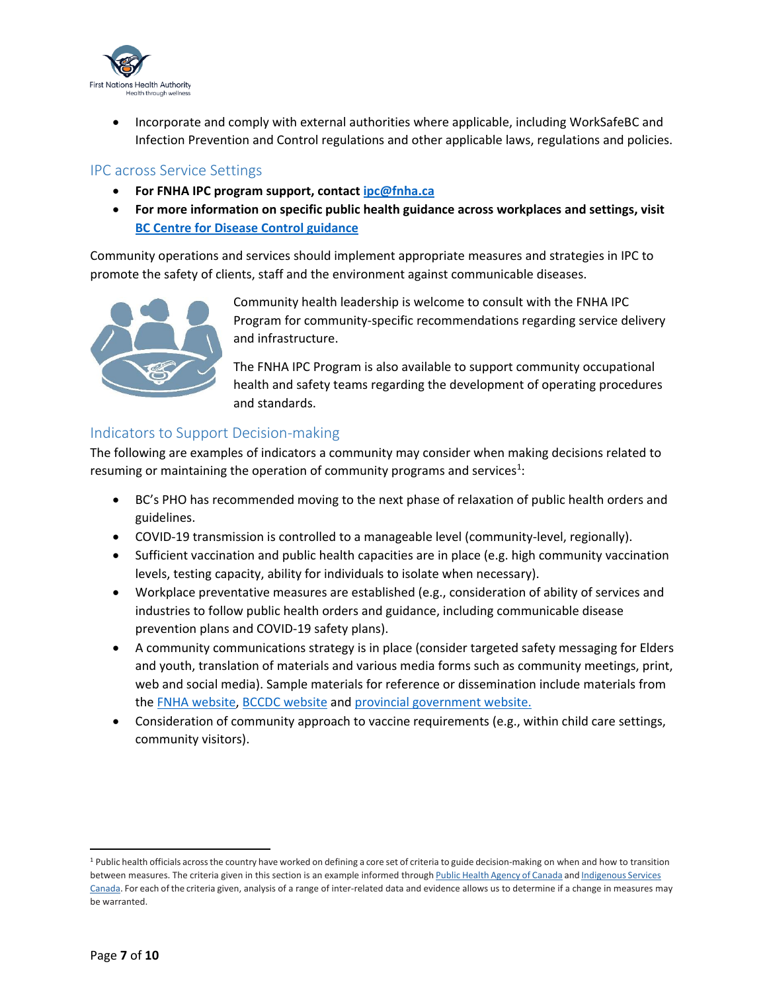

 Incorporate and comply with external authorities where applicable, including WorkSafeBC and Infection Prevention and Control regulations and other applicable laws, regulations and policies.

#### <span id="page-6-0"></span>IPC across Service Settings

- **For FNHA IPC program support, contact [ipc@fnha.ca](mailto:ipc@fnha.ca)**
- **For more information on specific public health guidance across workplaces and settings, visit [BC Centre for Disease Control guidance](http://www.bccdc.ca/health-info/diseases-conditions/covid-19/guidance-documents)**

Community operations and services should implement appropriate measures and strategies in IPC to promote the safety of clients, staff and the environment against communicable diseases.



Community health leadership is welcome to consult with the FNHA IPC Program for community-specific recommendations regarding service delivery and infrastructure.

The FNHA IPC Program is also available to support community occupational health and safety teams regarding the development of operating procedures and standards.

### <span id="page-6-1"></span>Indicators to Support Decision-making

The following are examples of indicators a community may consider when making decisions related to resuming or maintaining the operation of community programs and services<sup>1</sup>:

- BC's PHO has recommended moving to the next phase of relaxation of public health orders and guidelines.
- COVID-19 transmission is controlled to a manageable level (community-level, regionally).
- $\bullet$  Sufficient vaccination and public health capacities are in place (e.g. high community vaccination levels, testing capacity, ability for individuals to isolate when necessary).
- Workplace preventative measures are established (e.g., consideration of ability of services and industries to follow public health orders and guidance, including communicable disease prevention plans and COVID-19 safety plans).
- A community communications strategy is in place (consider targeted safety messaging for Elders and youth, translation of materials and various media forms such as community meetings, print, web and social media). Sample materials for reference or dissemination include materials from the [FNHA website,](https://www.fnha.ca/what-we-do/communicable-disease-control/coronavirus) [BCCDC website](http://www.bccdc.ca/?gclid=Cj0KCQiApL2QBhC8ARIsAGMm-KFDE48CLb0KnGt0Q82_5Xbwn5WRL0haZ0Fz9-bqpq8MmvOxVVX7YkIaAv-1EALw_wcB) and [provincial government website.](https://www2.gov.bc.ca/gov/content/covid-19/info/response)
- Consideration of community approach to vaccine requirements (e.g., within child care settings, community visitors).

 $\overline{\phantom{a}}$ 

<sup>&</sup>lt;sup>1</sup> Public health officials across the country have worked on defining a core set of criteria to guide decision-making on when and how to transition between measures. The criteria given in this section is an example informed through Public Health Agency of [Canada](https://www.canada.ca/en/public-health.html) and [Indigenous](https://www.canada.ca/en/indigenous-services-canada.html) Services [Canada.](https://www.canada.ca/en/indigenous-services-canada.html) For each of the criteria given, analysis of a range of inter-related data and evidence allows us to determine if a change in measures may be warranted.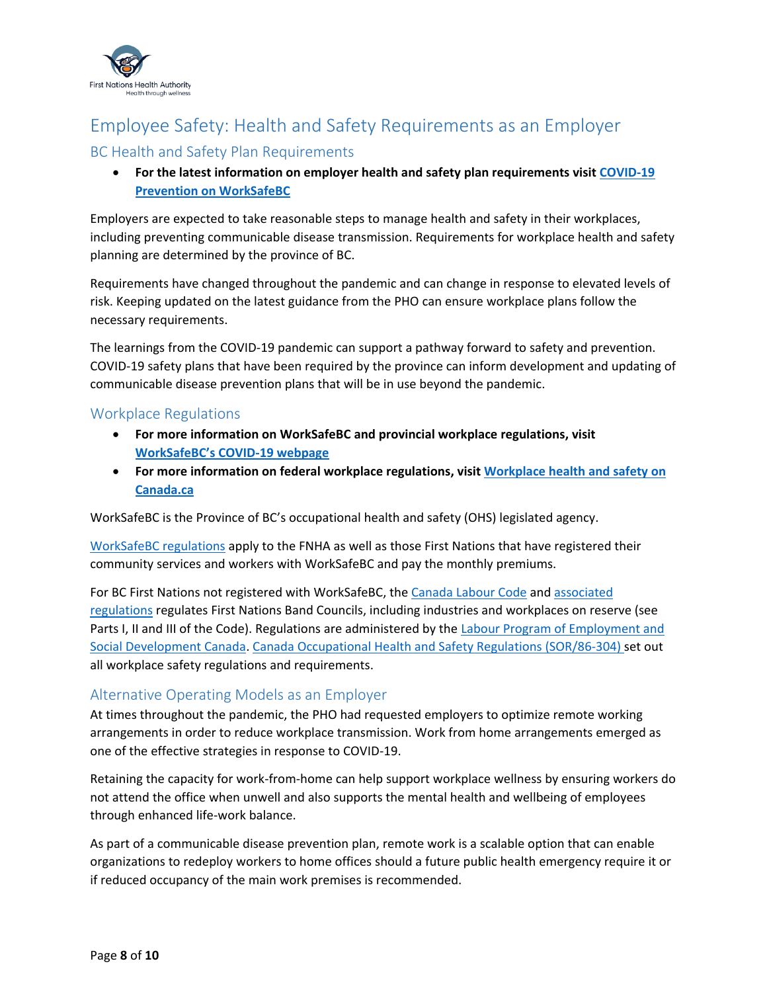

# <span id="page-7-0"></span>Employee Safety: Health and Safety Requirements as an Employer

### <span id="page-7-1"></span>BC Health and Safety Plan Requirements

### **For the latest information on employer health and safety plan requirements visit [COVID-19](http://www.worksafebc.com/en/covid-19/covid-19-prevention)  [Prevention on WorkSafeBC](http://www.worksafebc.com/en/covid-19/covid-19-prevention)**

Employers are expected to take reasonable steps to manage health and safety in their workplaces, including preventing communicable disease transmission. Requirements for workplace health and safety planning are determined by the province of BC.

Requirements have changed throughout the pandemic and can change in response to elevated levels of risk. Keeping updated on the latest guidance from the PHO can ensure workplace plans follow the necessary requirements.

The learnings from the COVID-19 pandemic can support a pathway forward to safety and prevention. COVID-19 safety plans that have been required by the province can inform development and updating of communicable disease prevention plans that will be in use beyond the pandemic.

### <span id="page-7-2"></span>Workplace Regulations

- **For more information on WorkSafeBC and provincial workplace regulations, visit [WorkSafeBC's COVID](http://www.worksafebc.com/en/covid-19)-19 webpage**
- **For more information on federal workplace regulations, visit [Workplace health and safety](https://www.canada.ca/en/services/jobs/workplace/health-safety.html) on [Canada.ca](https://www.canada.ca/en/services/jobs/workplace/health-safety.html)**

WorkSafeBC is the Province of BC's occupational health and safety (OHS) legislated agency.

[WorkSafeBC regulations](https://www.worksafebc.com/en/law-policy/occupational-health-safety/searchable-ohs-regulation) apply to the FNHA as well as those First Nations that have registered their community services and workers with WorkSafeBC and pay the monthly premiums.

For BC First Nations not registered with WorkSafeBC, th[e Canada Labour Code](https://laws-lois.justice.gc.ca/eng/acts/L-2/) and associated [regulations](https://laws-lois.justice.gc.ca/eng/regulations/SOR-86-304/index.html) regulates First Nations Band Councils, including industries and workplaces on reserve (see Parts I, II and III of the Code). Regulations are administered by the [Labour Program of Employment and](https://www.canada.ca/en/employment-social-development/corporate/portfolio/labour.html) [Social Development Canada.](https://www.canada.ca/en/employment-social-development/corporate/portfolio/labour.html) Canada [Occupational Health and Safety Regulations \(SOR/86-304\) s](https://laws-lois.justice.gc.ca/eng/regulations/SOR-86-304/index.html)et out all workplace safety regulations and requirements.

### <span id="page-7-3"></span>Alternative Operating Models as an Employer

At times throughout the pandemic, the PHO had requested employers to optimize remote working arrangements in order to reduce workplace transmission. Work from home arrangements emerged as one of the effective strategies in response to COVID-19.

Retaining the capacity for work-from-home can help support workplace wellness by ensuring workers do not attend the office when unwell and also supports the mental health and wellbeing of employees through enhanced life-work balance.

As part of a communicable disease prevention plan, remote work is a scalable option that can enable organizations to redeploy workers to home offices should a future public health emergency require it or if reduced occupancy of the main work premises is recommended.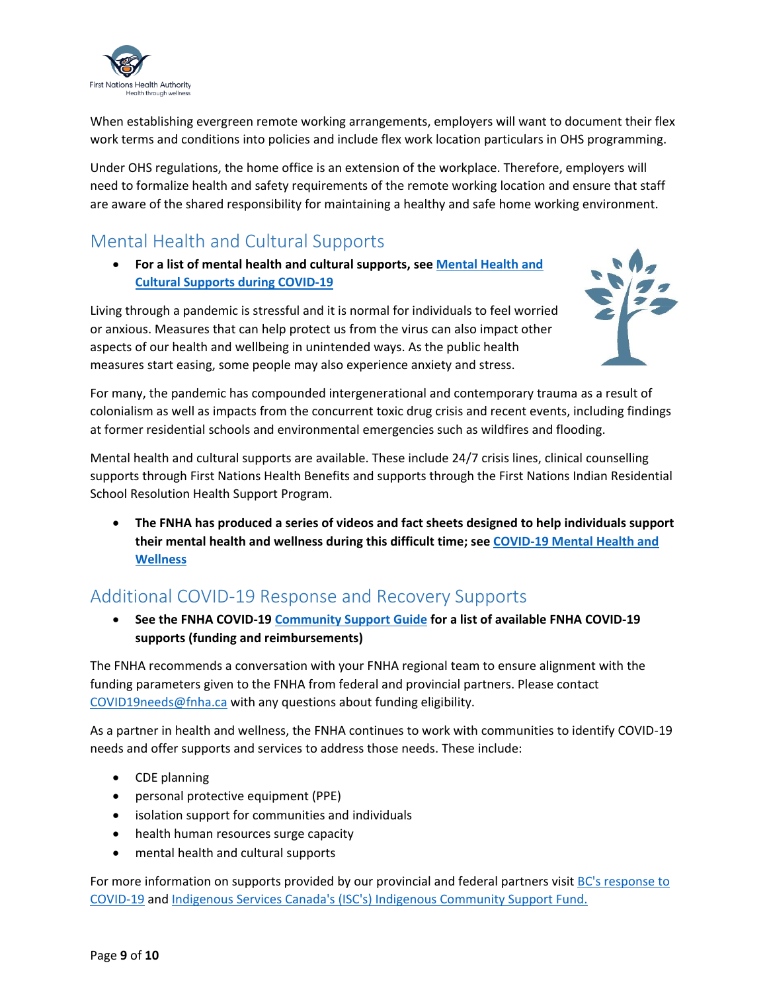

When establishing evergreen remote working arrangements, employers will want to document their flex work terms and conditions into policies and include flex work location particulars in OHS programming.

Under OHS regulations, the home office is an extension of the workplace. Therefore, employers will need to formalize health and safety requirements of the remote working location and ensure that staff are aware of the shared responsibility for maintaining a healthy and safe home working environment.

# <span id="page-8-0"></span>Mental Health and Cultural Supports

 **For a list of mental health and cultural supports, see [Mental Health and](https://www.fnha.ca/Documents/FNHA-COVID-19-Mental-Health-and-Cultural-Supports.pdf)  [Cultural Supports during COVID-19](https://www.fnha.ca/Documents/FNHA-COVID-19-Mental-Health-and-Cultural-Supports.pdf)**

Living through a pandemic is stressful and it is normal for individuals to feel worried or anxious. Measures that can help protect us from the virus can also impact other aspects of our health and wellbeing in unintended ways. As the public health measures start easing, some people may also experience anxiety and stress.



For many, the pandemic has compounded intergenerational and contemporary trauma as a result of colonialism as well as impacts from the concurrent toxic drug crisis and recent events, including findings at former residential schools and environmental emergencies such as wildfires and flooding.

Mental health and cultural supports are available. These include 24/7 crisis lines, clinical counselling supports through First Nations Health Benefits and supports through the First Nations Indian Residential School Resolution Health Support Program.

 **The FNHA has produced a series of videos and fact sheets designed to help individuals support their mental health and wellness during this difficult time; see [COVID-19 Mental](http://www.fnha.ca/what-we-do/communicable-disease-control/coronavirus/mental-health-and-wellness) Health and [Wellness](http://www.fnha.ca/what-we-do/communicable-disease-control/coronavirus/mental-health-and-wellness)**

# <span id="page-8-1"></span>Additional COVID-19 Response and Recovery Supports

 **See the FNHA COVID-1[9 Community Support Guide](https://www.fnha.ca/Documents/FNHA-COVID-19-Community-Support-Guide.pdf) for a list of available FNHA COVID-19 supports (funding and reimbursements)**

The FNHA recommends a conversation with your FNHA regional team to ensure alignment with the funding parameters given to the FNHA from federal and provincial partners. Please contact [COVID19needs@fnha.ca](mailto:COVID19needs@fnha.ca) with any questions about funding eligibility.

As a partner in health and wellness, the FNHA continues to work with communities to identify COVID-19 needs and offer supports and services to address those needs. These include:

- CDE planning
- personal protective equipment (PPE)
- isolation support for communities and individuals
- health human resources surge capacity
- mental health and cultural supports

For more information on supports provided by our provincial and federal partners visit BC's response to [COVID-19](https://www2.gov.bc.ca/gov/content/covid-19/info/response) and [Indigenous Services Canada's \(ISC's\) Indigenous Community Support Fund.](https://www.sac-isc.gc.ca/eng/1585189335380/1585189357198)